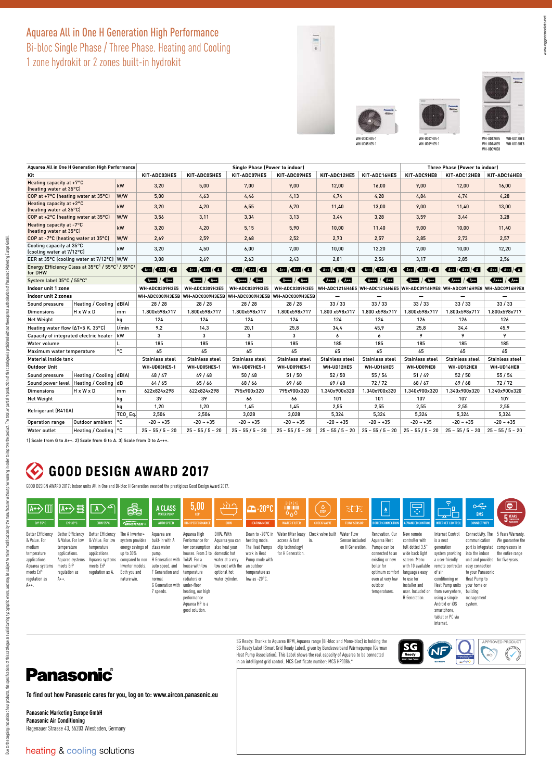#### Aquarea All in One H Generation High Performance Bi-bloc Single Phase / Three Phase. Heating and Cooling 1 zone hydrokit or 2 zones built-in hydrokit







| Aguarea All in One H Generation High Performance                                                |                         |                |                        |                        | <b>Three Phase (Power to indoor)</b> |                                                                 |                        |                                                                            |                    |                     |                                                                                                                                                                                                                                                                                                                     |
|-------------------------------------------------------------------------------------------------|-------------------------|----------------|------------------------|------------------------|--------------------------------------|-----------------------------------------------------------------|------------------------|----------------------------------------------------------------------------|--------------------|---------------------|---------------------------------------------------------------------------------------------------------------------------------------------------------------------------------------------------------------------------------------------------------------------------------------------------------------------|
| Kit                                                                                             |                         |                | KIT-ADC03HE5           | KIT-ADC05HE5           | KIT-ADC07HE5                         | KIT-ADC09HE5                                                    | KIT-ADC12HE5           | KIT-ADC16HE5                                                               | KIT-ADC9HE8        | KIT-ADC12HE8        | KIT-ADC16HE8                                                                                                                                                                                                                                                                                                        |
| Heating capacity at +7°C<br>kW<br>(heating water at 35°C)                                       |                         | 3,20           | 5,00                   | 7,00                   | 9,00                                 | 12,00                                                           | 16,00                  | 9,00                                                                       | 12,00              | 16,00               |                                                                                                                                                                                                                                                                                                                     |
| W/W<br>COP at +7°C (heating water at 35°C)                                                      |                         |                | 5,00                   | 4.63                   | 4,46                                 | 4,13                                                            | 4.74                   | 4.28                                                                       | 4,84               | 4,74                | 4,28                                                                                                                                                                                                                                                                                                                |
| Heating capacity at +2°C<br>kW<br>(heating water at 35°C)                                       |                         | 3,20           | 4,20                   | 6,55                   | 6,70                                 | 11.40                                                           | 13,00                  | 9,00                                                                       | 11,40              | 13,00               |                                                                                                                                                                                                                                                                                                                     |
| COP at +2°C (heating water at 35°C)<br>W/W                                                      |                         | 3,56           | 3,11                   | 3,34                   | 3,13                                 | 3,44                                                            | 3,28                   | 3,59                                                                       | 3,44               | 3,28                |                                                                                                                                                                                                                                                                                                                     |
| Heating capacity at -7°C<br>kW<br>(heating water at 35°C)                                       |                         |                | 3,20                   | 4,20                   | 5,15                                 | 5,90                                                            | 10.00                  | 11.40                                                                      | 9.00               | 10,00               | 11,40                                                                                                                                                                                                                                                                                                               |
| COP at -7°C (heating water at 35°C)<br>W/W                                                      |                         |                | 2.69                   | 2.59                   | 2,68                                 | 2,52                                                            | 2.73                   | 2.57                                                                       | 2.85               | 2,73                | 2,57                                                                                                                                                                                                                                                                                                                |
| Cooling capacity at 35°C<br>kW<br>(cooling water at 7/12°C)                                     |                         |                | 3,20                   | 4,50                   | 6,00                                 | 7,00                                                            | 10.00                  | 12,20                                                                      | 7.00               | 10.00               | 12,20                                                                                                                                                                                                                                                                                                               |
| EER at 35°C (cooling water at 7/12°C) W/W                                                       |                         | 3.08           | 2.69                   | 2,63                   | 2,43                                 | 2,81                                                            | 2,56                   | 3,17                                                                       | 2,85               | 2,56                |                                                                                                                                                                                                                                                                                                                     |
| Energy Efficiency Class at 35°C <sup>1</sup> / 55°C <sup>1</sup> / 55°C <sup>2</sup><br>for DHW |                         |                | $A + 1$ $A + 1$ $A$    | $A+1$ $A+1$ $A$        | $44$ $\sqrt{44}$ $\sqrt{44}$         | $A+$ $\left  \right $ $A+$ $\left  \right $ $A$                 | $A + 1$ $A + 1$ $A$    | $AA+$ $\frac{1}{4}$                                                        | 44                 | $A + 1$ $A + 1$ $A$ | $\frac{1}{2}$ $\frac{1}{2}$ $\frac{1}{2}$ $\frac{1}{2}$ $\frac{1}{2}$ $\frac{1}{2}$ $\frac{1}{2}$ $\frac{1}{2}$ $\frac{1}{2}$ $\frac{1}{2}$ $\frac{1}{2}$ $\frac{1}{2}$ $\frac{1}{2}$ $\frac{1}{2}$ $\frac{1}{2}$ $\frac{1}{2}$ $\frac{1}{2}$ $\frac{1}{2}$ $\frac{1}{2}$ $\frac{1}{2}$ $\frac{1}{2}$ $\frac{1}{2}$ |
| System label 35°C / 55°C3                                                                       |                         |                | Arff                   | $A = 1$                | $A + B$                              | $\sqrt{N_{\text{max}}}$ / $\sqrt{N_{\text{max}}}$               | $A + B$                | $\sqrt{4444}$ / $\sqrt{444}$                                               | $A++$ / $A++$      | $4+1$               | $\sqrt{4444}$ / $\sqrt{444}$                                                                                                                                                                                                                                                                                        |
| Indoor unit 1 zone                                                                              |                         |                | <b>WH-ADC0309H3E5</b>  | <b>WH-ADC0309H3E5</b>  | <b>WH-ADC0309H3E5</b>                | <b>WH-ADC0309H3E5</b>                                           |                        | WH-ADC1216H6E5 WH-ADC1216H6E5 WH-ADC0916H9E8 WH-ADC0916H9E8 WH-ADC0916H9E8 |                    |                     |                                                                                                                                                                                                                                                                                                                     |
| Indoor unit 2 zones                                                                             |                         |                |                        |                        |                                      | WH-ADC0309H3E5B WH-ADC0309H3E5B WH-ADC0309H3E5B WH-ADC0309H3E5B | -                      | -                                                                          | —                  |                     |                                                                                                                                                                                                                                                                                                                     |
| Sound pressure                                                                                  | Heating / Cooling dB(A) |                | 28/28                  | 28 / 28                | 28/28                                | 28 / 28                                                         | 33/33                  | 33/33                                                                      | 33/33              | 33/33               | 33/33                                                                                                                                                                                                                                                                                                               |
| <b>Dimensions</b>                                                                               | HxWxD                   | m <sub>m</sub> | 1.800x598x717          | 1.800x598x717          | 1.800x598x717                        | 1.800x598x717                                                   | 1.800 x598x717         | 1.800 x598x717                                                             | 1.800x598x717      | 1.800x598x717       | 1.800x598x717                                                                                                                                                                                                                                                                                                       |
| Net Weight<br>kg                                                                                |                         |                | 124                    | 124                    | 124                                  | 124                                                             | 124                    | 124                                                                        | 126                | 126                 | 126                                                                                                                                                                                                                                                                                                                 |
| Heating water flow (∆T=5 K. 35°C)<br>V <sub>min</sub>                                           |                         |                | 9,2                    | 14.3                   | 20,1                                 | 25,8                                                            | 34,4                   | 45.9                                                                       | 25,8               | 34,4                | 45,9                                                                                                                                                                                                                                                                                                                |
| kW<br>Capacity of integrated electric heater                                                    |                         |                | 3                      | 3                      | 3                                    | 3                                                               | 6                      | 6                                                                          | 9                  | 9                   | 9                                                                                                                                                                                                                                                                                                                   |
| L<br>Water volume                                                                               |                         |                | 185                    | 185                    | 185                                  | 185                                                             | 185                    | 185                                                                        | 185                | 185                 | 185                                                                                                                                                                                                                                                                                                                 |
| ۰c<br>Maximum water temperature                                                                 |                         |                | 65                     | 65                     | 65                                   | 65                                                              | 65                     | 65                                                                         | 65                 | 65                  | 65                                                                                                                                                                                                                                                                                                                  |
| Material inside tank                                                                            |                         |                | <b>Stainless steel</b> | <b>Stainless steel</b> | <b>Stainless steel</b>               | <b>Stainless steel</b>                                          | <b>Stainless steel</b> | Stainless steel                                                            | Stainless steel    | Stainless steel     | <b>Stainless steel</b>                                                                                                                                                                                                                                                                                              |
| <b>Outdoor Unit</b>                                                                             |                         |                | WH-UD03HE5-1           | <b>WH-UD05HE5-1</b>    | WH-UD07HE5-1                         | <b>WH-UD09HE5-1</b>                                             | WH-UD12HE5             | WH-UD16HE5                                                                 | WH-UD09HE8         | WH-UD12HE8          | WH-UD16HE8                                                                                                                                                                                                                                                                                                          |
| Sound pressure                                                                                  | Heating / Cooling dB(A) |                | 48/47                  | 49/48                  | 50/48                                | 51/50                                                           | 52/50                  | 55/54                                                                      | 51/49              | 52/50               | 55 / 54                                                                                                                                                                                                                                                                                                             |
| Sound power level   Heating / Cooling   dB                                                      |                         |                | 64/65                  | 65/66                  | 68/66                                | 69/68                                                           | 69/68                  | 72/72                                                                      | 68/67              | 69/68               | 72/72                                                                                                                                                                                                                                                                                                               |
| <b>Dimensions</b>                                                                               | HxWxD                   | mm             | 622x824x298            | 622x824x298            | 795x900x320                          | 795x900x320                                                     | 1.340x900x320          | 1.340x900x320                                                              | 1.340x900x320      | 1.340x900x320       | 1.340x900x320                                                                                                                                                                                                                                                                                                       |
| Net Weight<br>kg                                                                                |                         | 39             | 39                     | 66                     | 66                                   | 101                                                             | 101                    | 107                                                                        | 107                | 107                 |                                                                                                                                                                                                                                                                                                                     |
| kq<br>Refrigerant (R410A)<br>TCO <sub>2</sub> Eq.                                               |                         | 1.20           | 1.20                   | 1.45                   | 1.45                                 | 2.55                                                            | 2.55                   | 2.55                                                                       | 2.55               | 2.55                |                                                                                                                                                                                                                                                                                                                     |
|                                                                                                 |                         | 2.506          | 2.506                  | 3.028                  | 3.028                                | 5,324                                                           | 5.324                  | 5.324                                                                      | 5,324              | 5,324               |                                                                                                                                                                                                                                                                                                                     |
| Operation range                                                                                 | Outdoor ambient         | ∣°C            | $-20 - +35$            | $-20 - +35$            | $-20 - +35$                          | $-20 - +35$                                                     | $-20 - +35$            | $-20 - 35$                                                                 | $-20 - +35$        | $-20 - +35$         | $-20 - +35$                                                                                                                                                                                                                                                                                                         |
| Water outlet                                                                                    | Heating / Cooling   °C  |                | $25 - 55 / 5 - 20$     | $25 - 55 / 5 - 20$     | $25 - 55 / 5 - 20$                   | $25 - 55 / 5 - 20$                                              | $25 - 55 / 5 - 20$     | $25 - 55 / 5 - 20$                                                         | $25 - 55 / 5 - 20$ | $25 - 55 / 5 - 20$  | $25 - 55 / 5 - 20$                                                                                                                                                                                                                                                                                                  |

1) Scale from G to A++. 2) Scale from G to A. 3) Scale from D to A+++.

# C GOOD DESIGN AWARD 2017

GOOD DESIGN AWARD 2017: Indoor units All in One and Bi‑bloc H Generation awarded the prestigious Good Design Award 2017.

| $\boxed{A+}\boxed{1}$<br>ErP 55°C                                                                                                              | A+>量<br>ErP 35°C                                                                                                                | $\Box$<br>DHW 55°C                                                                                                                        | 鱪<br><b>GNVERTER+</b>                                                                                                   | A CLASS<br><b>WATER PUMP</b><br><b>AUTO SPEED</b>                                                                                                              | 5,00<br><b>COP</b><br><b>IGH PERFORMANCE</b>                                                                                                                                                                                                | $\hbar\hbar$<br><b>DHW</b>                                                                                                | <b>E-20°C</b><br><b>HEATING MODE</b>                                                                                                   | 中田庄<br>0 <sub>0</sub><br><b>WATER FILTER</b>           | $\frac{0}{\text{stop}}$<br><b>CHECK VALVE</b>         | 江太<br><b>FLOW SENSOR</b>            | $\pmb{\underline{\delta}}$<br><b>BOILER CONNECTION</b>                                                                                                                 | Ę<br><b>ADVANCED CONTROL</b>                                                                                                                                                                    | କ<br><b>INTERNET CONTRO</b>                                                                                                                                                                                                                         | $\sim$<br><b>BMS</b><br><b>CONNECTIVITY</b>                                                                                                                                                                         | $\bigcirc$<br><b>5</b> YEARS                           |
|------------------------------------------------------------------------------------------------------------------------------------------------|---------------------------------------------------------------------------------------------------------------------------------|-------------------------------------------------------------------------------------------------------------------------------------------|-------------------------------------------------------------------------------------------------------------------------|----------------------------------------------------------------------------------------------------------------------------------------------------------------|---------------------------------------------------------------------------------------------------------------------------------------------------------------------------------------------------------------------------------------------|---------------------------------------------------------------------------------------------------------------------------|----------------------------------------------------------------------------------------------------------------------------------------|--------------------------------------------------------|-------------------------------------------------------|-------------------------------------|------------------------------------------------------------------------------------------------------------------------------------------------------------------------|-------------------------------------------------------------------------------------------------------------------------------------------------------------------------------------------------|-----------------------------------------------------------------------------------------------------------------------------------------------------------------------------------------------------------------------------------------------------|---------------------------------------------------------------------------------------------------------------------------------------------------------------------------------------------------------------------|--------------------------------------------------------|
| <b>Better Efficiency</b><br>& Value, For<br>medium<br>temperature<br>applications.<br>Aquarea systems<br>meets ErP<br>regulation as<br>$A++$ . | Better Efficiency<br>& Value, For low<br>temperature<br>applications.<br>Aquarea systems<br>meets ErP<br>requlation as<br>$A++$ | Better Efficiency The A Inverter+<br>& Value. For low<br>temperature<br>applications.<br>Aquarea systems<br>meets ErP<br>requlation as A. | system provides<br>energy savings of<br>up to 30%<br>compared to non<br>Inverter models.<br>Both you and<br>nature win. | Aquarea are<br>built-in with A<br>class water<br>pump.<br>H Generation with<br>auto speed, and<br>F Generation and<br>normal<br>G Generation with<br>7 speeds. | Aquarea High<br>Performance for<br>low consumption<br>houses. From 3 to domestic hot<br>16kW. For a<br>house with low<br>temperature<br>radiators or<br>under-floor<br>heating, our high<br>performance<br>Aquarea HP is a<br>nond solution | DHW. With<br>Aquarea you can<br>also heat your<br>water at a very<br>low cost with the<br>optional hot<br>water cylinder. | Down to -20°C in<br>heating mode.<br>The Heat Pumps<br>work in Heat<br>Pumo mode with<br>an outdoor<br>temperature as<br>low as -20°C. | access & fast<br>clip technology)<br>for H Generation. | Water filter (easy Check valve built Water Flow<br>in | Sensor included<br>on H Generation. | Renovation, Our<br>Aguarea Heat<br>Pumps can be<br>connected to an<br>existing or new<br>boiler for<br>optimum comfort<br>even at very low<br>outdoor<br>temperatures. | New remote<br>controller with<br>full dotted 3,5<br>wide back light<br>screen. Menu<br>with 10 available<br>languages easy<br>to use for<br>installer and<br>user, Included on<br>H Generation. | Internet Control<br>is a next<br>qeneration<br>system providing<br>a user-friendly<br>remote controller<br>of air<br>conditioning or<br>Heat Pump units your home or<br>from everywhere. building<br>using a simple<br>Android or iOS<br>smartnhone | Connectivity. The 5 Years Warranty.<br>communication<br>port is integrated<br>into the indoor<br>unit and provides for five vears.<br>easy connection<br>to your Panasonic<br>Heat Pumo to<br>management<br>system. | We quarantee the<br>compressors in<br>the entire range |

SG Ready: Thanks to Aquarea HPM, Aquarea range (Bi-bloc and Mono-bloc) is holding the<br>SG Ready Label (Smart Grid Ready Label), given by Bundesverband Wärmepumpe (German<br>Heat Pump Association). This Label shows the real cap in an intelligent grid control. MCS Certificate number: MCS HP0086.\*

#### $SG$ <sub>Ready</sub> NF  $\bigodot$ **ehpa**

tablet or PC via internet.

# **Panasonic**

**To find out how Panasonic cares for you, log on to: www.aircon.panasonic.eu** 

**Panasonic Marketing Europe GmbH Panasonic Air Conditioning** Hagenauer Strasse 43, 65203 Wiesbaden, Germany

Due to be ongoing invocation of our points, and a statement of this catalogue are all and be appropriate and a subject to mind material product material properties and production of this catalogue is problement and are app Due to the country, the specifications of this catalogue are additionally assumed to more positions, and more the monothers in the that of the conduction of the catalogue is problement the specification of Panssaic Marketi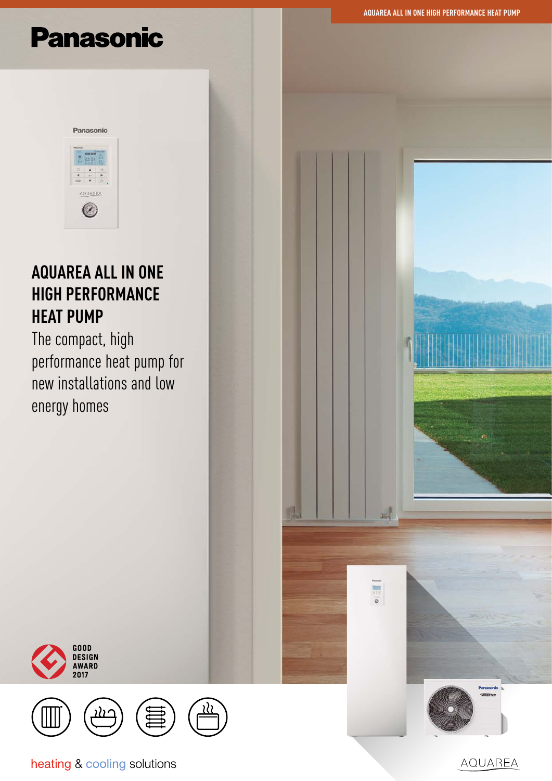**AQUAREA ALL IN ONE HIGH PERFORMANCE HEAT PUMP**

# **Panasonic**



# **AQUAREA ALL IN ONE HIGH PERFORMANCE HEAT PUMP**

The compact, high performance heat pump for new installations and low energy homes





heating & cooling solutions

AQUAREA

瞴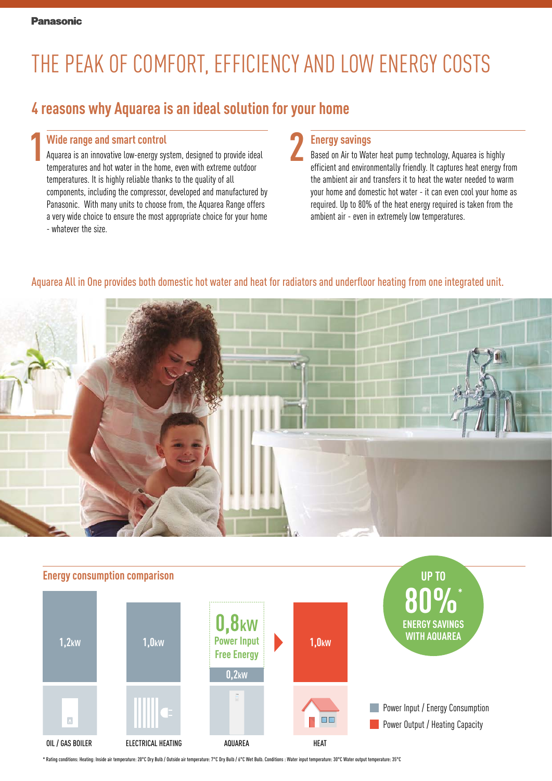# THE PEAK OF COMFORT, EFFICIENCY AND LOW ENERGY COSTS

## **4 reasons why Aquarea is an ideal solution for your home**

#### **Wide range and smart control**

**1 2** Aquarea is an innovative low-energy system, designed to provide ideal temperatures and hot water in the home, even with extreme outdoor temperatures. It is highly reliable thanks to the quality of all components, including the compressor, developed and manufactured by Panasonic. With many units to choose from, the Aquarea Range offers a very wide choice to ensure the most appropriate choice for your home - whatever the size.

#### **Energy savings**

Based on Air to Water heat pump technology, Aquarea is highly efficient and environmentally friendly. It captures heat energy from the ambient air and transfers it to heat the water needed to warm your home and domestic hot water - it can even cool your home as required. Up to 80% of the heat energy required is taken from the ambient air - even in extremely low temperatures.

#### Aquarea All in One provides both domestic hot water and heat for radiators and underfloor heating from one integrated unit.





\* Rating conditions: Heating: Inside air temperature: 20°C Dry Bulb / Outside air temperature: 7°C Dry Bulb / 6°C Wet Bulb. Conditions : Water input temperature: 30°C Water output temperature: 35°C